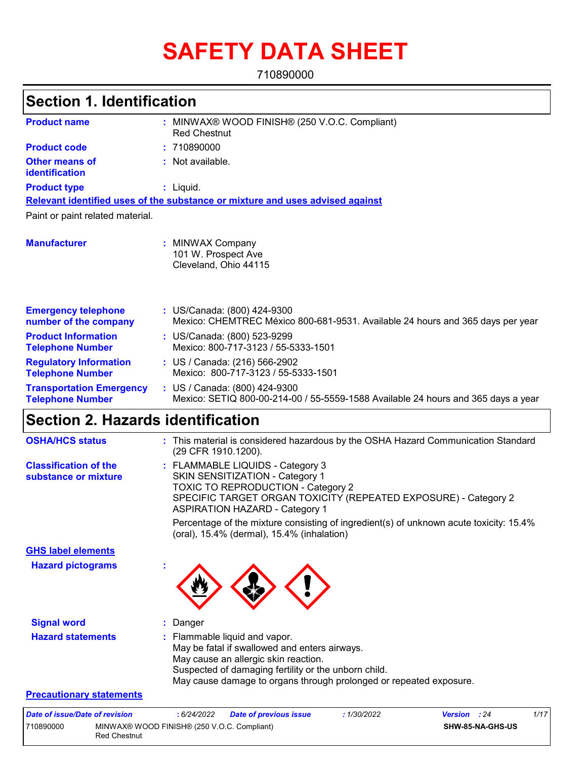# **SAFETY DATA SHEET**

710890000

#### MINWAX® WOOD FINISH® (250 V.O.C. Compliant) **:** Red Chestnut Not available. **:** Liquid. **:** US/Canada: (800) 424-9300 **:** Mexico: CHEMTREC México 800-681-9531. Available 24 hours and 365 days per year **Product name Other means of identification Product type Emergency telephone number of the company Section 1. Identification Manufacturer :** MINWAX Company 101 W. Prospect Ave Cleveland, Ohio 44115 **Relevant identified uses of the substance or mixture and uses advised against** Paint or paint related material. **Product code :** 710890000 **Product Information Telephone Number :** US/Canada: (800) 523-9299 Mexico: 800-717-3123 / 55-5333-1501 **Regulatory Information Telephone Number :** US / Canada: (216) 566-2902 Mexico: 800-717-3123 / 55-5333-1501 **Transportation Emergency Telephone Number :** US / Canada: (800) 424-9300 Mexico: SETIQ 800-00-214-00 / 55-5559-1588 Available 24 hours and 365 days a year **Section 2. Hazards identification**

| <b>OSHA/HCS status</b>                               | : This material is considered hazardous by the OSHA Hazard Communication Standard<br>(29 CFR 1910.1200).                                                                                                                                             |
|------------------------------------------------------|------------------------------------------------------------------------------------------------------------------------------------------------------------------------------------------------------------------------------------------------------|
| <b>Classification of the</b><br>substance or mixture | : FLAMMABLE LIQUIDS - Category 3<br>SKIN SENSITIZATION - Category 1<br><b>TOXIC TO REPRODUCTION - Category 2</b><br>SPECIFIC TARGET ORGAN TOXICITY (REPEATED EXPOSURE) - Category 2<br><b>ASPIRATION HAZARD - Category 1</b>                         |
|                                                      | Percentage of the mixture consisting of ingredient(s) of unknown acute toxicity: 15.4%<br>(oral), 15.4% (dermal), 15.4% (inhalation)                                                                                                                 |
| <b>GHS label elements</b>                            |                                                                                                                                                                                                                                                      |
| <b>Hazard pictograms</b>                             |                                                                                                                                                                                                                                                      |
| <b>Signal word</b>                                   | : Danger                                                                                                                                                                                                                                             |
| <b>Hazard statements</b>                             | : Flammable liquid and vapor.<br>May be fatal if swallowed and enters airways.<br>May cause an allergic skin reaction.<br>Suspected of damaging fertility or the unborn child.<br>May cause damage to organs through prolonged or repeated exposure. |
| <b>Precautionary statements</b>                      |                                                                                                                                                                                                                                                      |

| Date of issue/Date of revision |                                                                    | : 6/24/2022 | <b>Date of previous issue</b> | <b>1/30/2022</b> | <b>Version</b> : 24 | 1/17 |
|--------------------------------|--------------------------------------------------------------------|-------------|-------------------------------|------------------|---------------------|------|
| 1710890000                     | MINWAX® WOOD FINISH® (250 V.O.C. Compliant)<br><b>Red Chestnut</b> |             |                               |                  | SHW-85-NA-GHS-US    |      |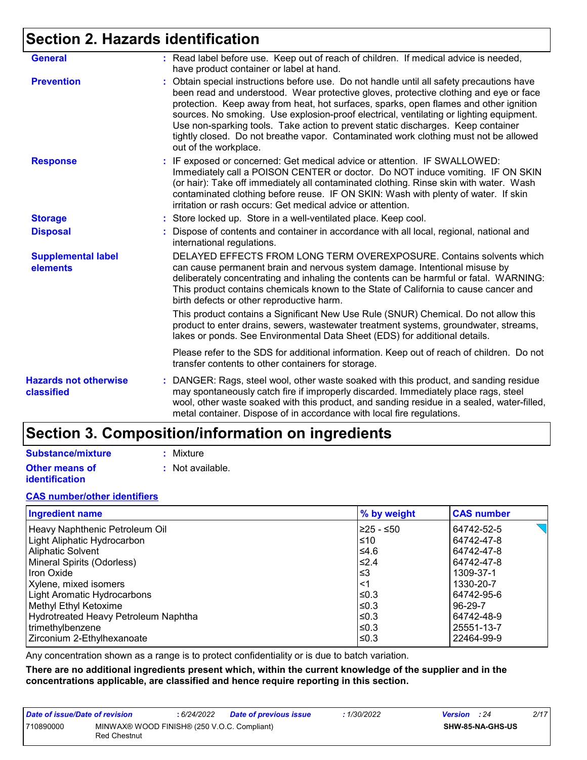# **Section 2. Hazards identification**

| <b>General</b>                             | : Read label before use. Keep out of reach of children. If medical advice is needed,<br>have product container or label at hand.                                                                                                                                                                                                                                                                                                                                                                                                                                          |
|--------------------------------------------|---------------------------------------------------------------------------------------------------------------------------------------------------------------------------------------------------------------------------------------------------------------------------------------------------------------------------------------------------------------------------------------------------------------------------------------------------------------------------------------------------------------------------------------------------------------------------|
| <b>Prevention</b>                          | Obtain special instructions before use. Do not handle until all safety precautions have<br>been read and understood. Wear protective gloves, protective clothing and eye or face<br>protection. Keep away from heat, hot surfaces, sparks, open flames and other ignition<br>sources. No smoking. Use explosion-proof electrical, ventilating or lighting equipment.<br>Use non-sparking tools. Take action to prevent static discharges. Keep container<br>tightly closed. Do not breathe vapor. Contaminated work clothing must not be allowed<br>out of the workplace. |
| <b>Response</b>                            | : IF exposed or concerned: Get medical advice or attention. IF SWALLOWED:<br>Immediately call a POISON CENTER or doctor. Do NOT induce vomiting. IF ON SKIN<br>(or hair): Take off immediately all contaminated clothing. Rinse skin with water. Wash<br>contaminated clothing before reuse. IF ON SKIN: Wash with plenty of water. If skin<br>irritation or rash occurs: Get medical advice or attention.                                                                                                                                                                |
| <b>Storage</b>                             | : Store locked up. Store in a well-ventilated place. Keep cool.                                                                                                                                                                                                                                                                                                                                                                                                                                                                                                           |
| <b>Disposal</b>                            | : Dispose of contents and container in accordance with all local, regional, national and<br>international regulations.                                                                                                                                                                                                                                                                                                                                                                                                                                                    |
| <b>Supplemental label</b><br>elements      | DELAYED EFFECTS FROM LONG TERM OVEREXPOSURE. Contains solvents which<br>can cause permanent brain and nervous system damage. Intentional misuse by<br>deliberately concentrating and inhaling the contents can be harmful or fatal. WARNING:<br>This product contains chemicals known to the State of California to cause cancer and<br>birth defects or other reproductive harm.                                                                                                                                                                                         |
|                                            | This product contains a Significant New Use Rule (SNUR) Chemical. Do not allow this<br>product to enter drains, sewers, wastewater treatment systems, groundwater, streams,<br>lakes or ponds. See Environmental Data Sheet (EDS) for additional details.                                                                                                                                                                                                                                                                                                                 |
|                                            | Please refer to the SDS for additional information. Keep out of reach of children. Do not<br>transfer contents to other containers for storage.                                                                                                                                                                                                                                                                                                                                                                                                                           |
| <b>Hazards not otherwise</b><br>classified | DANGER: Rags, steel wool, other waste soaked with this product, and sanding residue<br>t.<br>may spontaneously catch fire if improperly discarded. Immediately place rags, steel<br>wool, other waste soaked with this product, and sanding residue in a sealed, water-filled,<br>metal container. Dispose of in accordance with local fire regulations.                                                                                                                                                                                                                  |

# **Section 3. Composition/information on ingredients**

#### **Substance/mixture**

**Other means of identification**

- **:** Mixture
	- **:** Not available.

#### **CAS number/other identifiers**

| <b>Ingredient name</b>               | % by weight | <b>CAS number</b> |
|--------------------------------------|-------------|-------------------|
| Heavy Naphthenic Petroleum Oil       | 225 - ≤50   | 64742-52-5        |
| Light Aliphatic Hydrocarbon          | ≤10         | 64742-47-8        |
| <b>Aliphatic Solvent</b>             | ≤4.6        | 64742-47-8        |
| Mineral Spirits (Odorless)           | $\leq 2.4$  | 64742-47-8        |
| Iron Oxide                           | ≤3          | 1309-37-1         |
| Xylene, mixed isomers                | $<$ 1       | 1330-20-7         |
| Light Aromatic Hydrocarbons          | ≤0.3        | 64742-95-6        |
| Methyl Ethyl Ketoxime                | ≤0.3        | 96-29-7           |
| Hydrotreated Heavy Petroleum Naphtha | ≤0.3        | 64742-48-9        |
| trimethylbenzene                     | ≤0.3        | 25551-13-7        |
| Zirconium 2-Ethylhexanoate           | ≤0.3        | 22464-99-9        |

Any concentration shown as a range is to protect confidentiality or is due to batch variation.

**There are no additional ingredients present which, within the current knowledge of the supplier and in the concentrations applicable, are classified and hence require reporting in this section.**

| Date of issue/Date of revision |                                                             | : 6/24/2022 | <b>Date of previous issue</b> | 1/30/2022 | <b>Version</b> : 24 |                         | 2/17 |
|--------------------------------|-------------------------------------------------------------|-------------|-------------------------------|-----------|---------------------|-------------------------|------|
| 710890000                      | MINWAX® WOOD FINISH® (250 V.O.C. Compliant)<br>Red Chestnut |             |                               |           |                     | <b>SHW-85-NA-GHS-US</b> |      |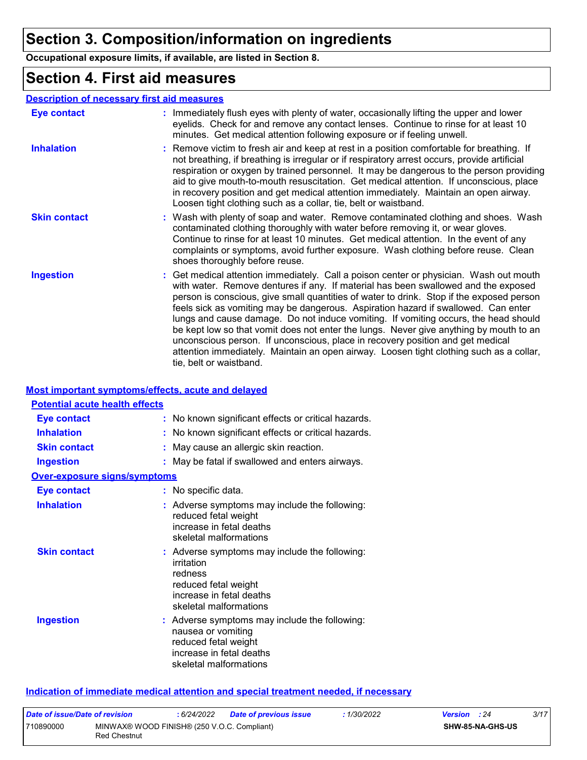# **Section 3. Composition/information on ingredients**

**Occupational exposure limits, if available, are listed in Section 8.**

### **Section 4. First aid measures**

#### **Description of necessary first aid measures**

| Eye contact         | : Immediately flush eyes with plenty of water, occasionally lifting the upper and lower<br>eyelids. Check for and remove any contact lenses. Continue to rinse for at least 10<br>minutes. Get medical attention following exposure or if feeling unwell.                                                                                                                                                                                                                                                                                                                                                                                                                                                                                               |
|---------------------|---------------------------------------------------------------------------------------------------------------------------------------------------------------------------------------------------------------------------------------------------------------------------------------------------------------------------------------------------------------------------------------------------------------------------------------------------------------------------------------------------------------------------------------------------------------------------------------------------------------------------------------------------------------------------------------------------------------------------------------------------------|
| <b>Inhalation</b>   | : Remove victim to fresh air and keep at rest in a position comfortable for breathing. If<br>not breathing, if breathing is irregular or if respiratory arrest occurs, provide artificial<br>respiration or oxygen by trained personnel. It may be dangerous to the person providing<br>aid to give mouth-to-mouth resuscitation. Get medical attention. If unconscious, place<br>in recovery position and get medical attention immediately. Maintain an open airway.<br>Loosen tight clothing such as a collar, tie, belt or waistband.                                                                                                                                                                                                               |
| <b>Skin contact</b> | : Wash with plenty of soap and water. Remove contaminated clothing and shoes. Wash<br>contaminated clothing thoroughly with water before removing it, or wear gloves.<br>Continue to rinse for at least 10 minutes. Get medical attention. In the event of any<br>complaints or symptoms, avoid further exposure. Wash clothing before reuse. Clean<br>shoes thoroughly before reuse.                                                                                                                                                                                                                                                                                                                                                                   |
| <b>Ingestion</b>    | : Get medical attention immediately. Call a poison center or physician. Wash out mouth<br>with water. Remove dentures if any. If material has been swallowed and the exposed<br>person is conscious, give small quantities of water to drink. Stop if the exposed person<br>feels sick as vomiting may be dangerous. Aspiration hazard if swallowed. Can enter<br>lungs and cause damage. Do not induce vomiting. If vomiting occurs, the head should<br>be kept low so that vomit does not enter the lungs. Never give anything by mouth to an<br>unconscious person. If unconscious, place in recovery position and get medical<br>attention immediately. Maintain an open airway. Loosen tight clothing such as a collar,<br>tie, belt or waistband. |

#### **Most important symptoms/effects, acute and delayed**

| <b>Potential acute health effects</b> |                                                                                                                                                      |
|---------------------------------------|------------------------------------------------------------------------------------------------------------------------------------------------------|
| <b>Eye contact</b>                    | : No known significant effects or critical hazards.                                                                                                  |
| <b>Inhalation</b>                     | : No known significant effects or critical hazards.                                                                                                  |
| <b>Skin contact</b>                   | : May cause an allergic skin reaction.                                                                                                               |
| <b>Ingestion</b>                      | : May be fatal if swallowed and enters airways.                                                                                                      |
| <b>Over-exposure signs/symptoms</b>   |                                                                                                                                                      |
| <b>Eye contact</b>                    | : No specific data.                                                                                                                                  |
| <b>Inhalation</b>                     | : Adverse symptoms may include the following:<br>reduced fetal weight<br>increase in fetal deaths<br>skeletal malformations                          |
| <b>Skin contact</b>                   | : Adverse symptoms may include the following:<br>irritation<br>redness<br>reduced fetal weight<br>increase in fetal deaths<br>skeletal malformations |
| <b>Ingestion</b>                      | : Adverse symptoms may include the following:<br>nausea or vomiting<br>reduced fetal weight<br>increase in fetal deaths<br>skeletal malformations    |

#### **Indication of immediate medical attention and special treatment needed, if necessary**

| Date of issue/Date of revision |                                                                    | : 6/24/2022 | Date of previous issue | 1/30/2022 | <b>Version</b> : 24 |  | 3/17 |
|--------------------------------|--------------------------------------------------------------------|-------------|------------------------|-----------|---------------------|--|------|
| 710890000                      | MINWAX® WOOD FINISH® (250 V.O.C. Compliant)<br><b>Red Chestnut</b> |             |                        |           | SHW-85-NA-GHS-US    |  |      |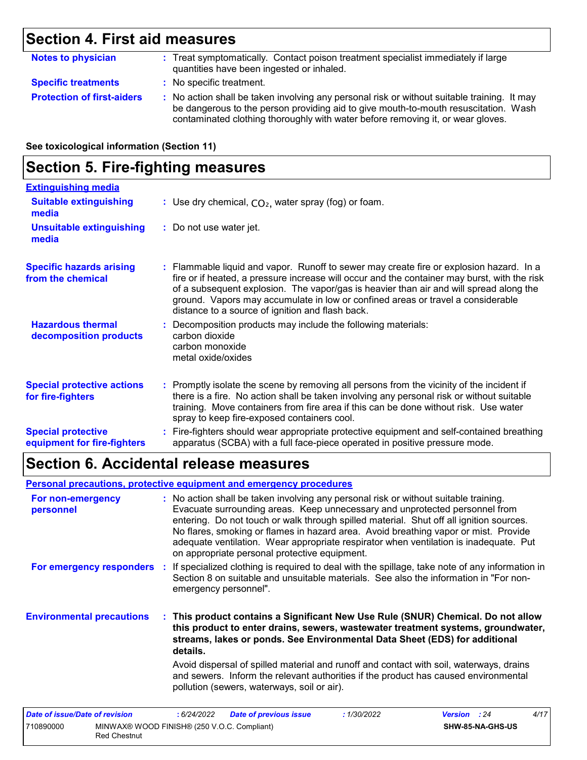# **Section 4. First aid measures**

| <b>Notes to physician</b>         | : Treat symptomatically. Contact poison treatment specialist immediately if large<br>quantities have been ingested or inhaled.                                                                                                                                        |  |  |
|-----------------------------------|-----------------------------------------------------------------------------------------------------------------------------------------------------------------------------------------------------------------------------------------------------------------------|--|--|
| <b>Specific treatments</b>        | : No specific treatment.                                                                                                                                                                                                                                              |  |  |
| <b>Protection of first-aiders</b> | : No action shall be taken involving any personal risk or without suitable training. It may<br>be dangerous to the person providing aid to give mouth-to-mouth resuscitation. Wash<br>contaminated clothing thoroughly with water before removing it, or wear gloves. |  |  |

**See toxicological information (Section 11)**

### **Section 5. Fire-fighting measures**

| <b>Extinguishing media</b>                               |                                                                                                                                                                                                                                                                                                                                                                                                                          |  |
|----------------------------------------------------------|--------------------------------------------------------------------------------------------------------------------------------------------------------------------------------------------------------------------------------------------------------------------------------------------------------------------------------------------------------------------------------------------------------------------------|--|
| <b>Suitable extinguishing</b><br>media                   | : Use dry chemical, $CO2$ , water spray (fog) or foam.                                                                                                                                                                                                                                                                                                                                                                   |  |
| <b>Unsuitable extinguishing</b><br>media                 | : Do not use water jet.                                                                                                                                                                                                                                                                                                                                                                                                  |  |
| <b>Specific hazards arising</b><br>from the chemical     | : Flammable liquid and vapor. Runoff to sewer may create fire or explosion hazard. In a<br>fire or if heated, a pressure increase will occur and the container may burst, with the risk<br>of a subsequent explosion. The vapor/gas is heavier than air and will spread along the<br>ground. Vapors may accumulate in low or confined areas or travel a considerable<br>distance to a source of ignition and flash back. |  |
| <b>Hazardous thermal</b><br>decomposition products       | : Decomposition products may include the following materials:<br>carbon dioxide<br>carbon monoxide<br>metal oxide/oxides                                                                                                                                                                                                                                                                                                 |  |
| <b>Special protective actions</b><br>for fire-fighters   | : Promptly isolate the scene by removing all persons from the vicinity of the incident if<br>there is a fire. No action shall be taken involving any personal risk or without suitable<br>training. Move containers from fire area if this can be done without risk. Use water<br>spray to keep fire-exposed containers cool.                                                                                            |  |
| <b>Special protective</b><br>equipment for fire-fighters | : Fire-fighters should wear appropriate protective equipment and self-contained breathing<br>apparatus (SCBA) with a full face-piece operated in positive pressure mode.                                                                                                                                                                                                                                                 |  |

# **Section 6. Accidental release measures**

Red Chestnut

#### **Personal precautions, protective equipment and emergency procedures**

| For non-emergency<br>personnel        | : No action shall be taken involving any personal risk or without suitable training.<br>Evacuate surrounding areas. Keep unnecessary and unprotected personnel from<br>entering. Do not touch or walk through spilled material. Shut off all ignition sources.<br>No flares, smoking or flames in hazard area. Avoid breathing vapor or mist. Provide<br>adequate ventilation. Wear appropriate respirator when ventilation is inadequate. Put<br>on appropriate personal protective equipment. |
|---------------------------------------|-------------------------------------------------------------------------------------------------------------------------------------------------------------------------------------------------------------------------------------------------------------------------------------------------------------------------------------------------------------------------------------------------------------------------------------------------------------------------------------------------|
|                                       | For emergency responders : If specialized clothing is required to deal with the spillage, take note of any information in<br>Section 8 on suitable and unsuitable materials. See also the information in "For non-<br>emergency personnel".                                                                                                                                                                                                                                                     |
| <b>Environmental precautions</b>      | : This product contains a Significant New Use Rule (SNUR) Chemical. Do not allow<br>this product to enter drains, sewers, wastewater treatment systems, groundwater,<br>streams, lakes or ponds. See Environmental Data Sheet (EDS) for additional<br>details.                                                                                                                                                                                                                                  |
|                                       | Avoid dispersal of spilled material and runoff and contact with soil, waterways, drains<br>and sewers. Inform the relevant authorities if the product has caused environmental<br>pollution (sewers, waterways, soil or air).                                                                                                                                                                                                                                                                   |
| <b>Date of issue/Date of revision</b> | 4/17<br><b>Date of previous issue</b><br><b>Version</b> : 24<br>:6/24/2022<br>:1/30/2022                                                                                                                                                                                                                                                                                                                                                                                                        |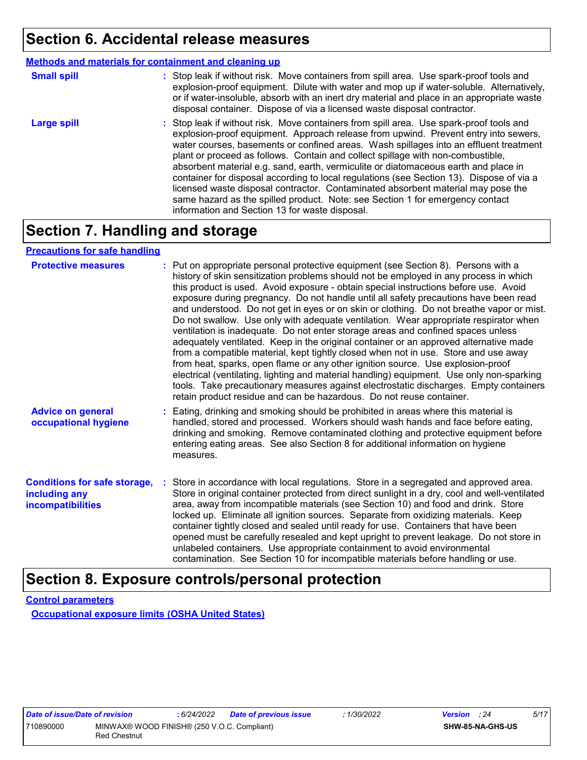### **Section 6. Accidental release measures**

|                    | <b>Methods and materials for containment and cleaning up</b>                                                                                                                                                                                                                                                                                                                                                                                                                                                                                                                                                                                                                                                                                                         |
|--------------------|----------------------------------------------------------------------------------------------------------------------------------------------------------------------------------------------------------------------------------------------------------------------------------------------------------------------------------------------------------------------------------------------------------------------------------------------------------------------------------------------------------------------------------------------------------------------------------------------------------------------------------------------------------------------------------------------------------------------------------------------------------------------|
| <b>Small spill</b> | : Stop leak if without risk. Move containers from spill area. Use spark-proof tools and<br>explosion-proof equipment. Dilute with water and mop up if water-soluble. Alternatively,<br>or if water-insoluble, absorb with an inert dry material and place in an appropriate waste<br>disposal container. Dispose of via a licensed waste disposal contractor.                                                                                                                                                                                                                                                                                                                                                                                                        |
| <b>Large spill</b> | : Stop leak if without risk. Move containers from spill area. Use spark-proof tools and<br>explosion-proof equipment. Approach release from upwind. Prevent entry into sewers,<br>water courses, basements or confined areas. Wash spillages into an effluent treatment<br>plant or proceed as follows. Contain and collect spillage with non-combustible,<br>absorbent material e.g. sand, earth, vermiculite or diatomaceous earth and place in<br>container for disposal according to local regulations (see Section 13). Dispose of via a<br>licensed waste disposal contractor. Contaminated absorbent material may pose the<br>same hazard as the spilled product. Note: see Section 1 for emergency contact<br>information and Section 13 for waste disposal. |

# **Section 7. Handling and storage**

#### **Precautions for safe handling**

| <b>Protective measures</b>                                                       | : Put on appropriate personal protective equipment (see Section 8). Persons with a<br>history of skin sensitization problems should not be employed in any process in which<br>this product is used. Avoid exposure - obtain special instructions before use. Avoid<br>exposure during pregnancy. Do not handle until all safety precautions have been read<br>and understood. Do not get in eyes or on skin or clothing. Do not breathe vapor or mist.<br>Do not swallow. Use only with adequate ventilation. Wear appropriate respirator when<br>ventilation is inadequate. Do not enter storage areas and confined spaces unless<br>adequately ventilated. Keep in the original container or an approved alternative made<br>from a compatible material, kept tightly closed when not in use. Store and use away<br>from heat, sparks, open flame or any other ignition source. Use explosion-proof<br>electrical (ventilating, lighting and material handling) equipment. Use only non-sparking<br>tools. Take precautionary measures against electrostatic discharges. Empty containers<br>retain product residue and can be hazardous. Do not reuse container. |
|----------------------------------------------------------------------------------|----------------------------------------------------------------------------------------------------------------------------------------------------------------------------------------------------------------------------------------------------------------------------------------------------------------------------------------------------------------------------------------------------------------------------------------------------------------------------------------------------------------------------------------------------------------------------------------------------------------------------------------------------------------------------------------------------------------------------------------------------------------------------------------------------------------------------------------------------------------------------------------------------------------------------------------------------------------------------------------------------------------------------------------------------------------------------------------------------------------------------------------------------------------------|
| <b>Advice on general</b><br>occupational hygiene                                 | : Eating, drinking and smoking should be prohibited in areas where this material is<br>handled, stored and processed. Workers should wash hands and face before eating,<br>drinking and smoking. Remove contaminated clothing and protective equipment before<br>entering eating areas. See also Section 8 for additional information on hygiene<br>measures.                                                                                                                                                                                                                                                                                                                                                                                                                                                                                                                                                                                                                                                                                                                                                                                                        |
| <b>Conditions for safe storage,</b><br>including any<br><b>incompatibilities</b> | : Store in accordance with local regulations. Store in a segregated and approved area.<br>Store in original container protected from direct sunlight in a dry, cool and well-ventilated<br>area, away from incompatible materials (see Section 10) and food and drink. Store<br>locked up. Eliminate all ignition sources. Separate from oxidizing materials. Keep<br>container tightly closed and sealed until ready for use. Containers that have been<br>opened must be carefully resealed and kept upright to prevent leakage. Do not store in<br>unlabeled containers. Use appropriate containment to avoid environmental<br>contamination. See Section 10 for incompatible materials before handling or use.                                                                                                                                                                                                                                                                                                                                                                                                                                                   |

### **Section 8. Exposure controls/personal protection**

**Control parameters Occupational exposure limits (OSHA United States)**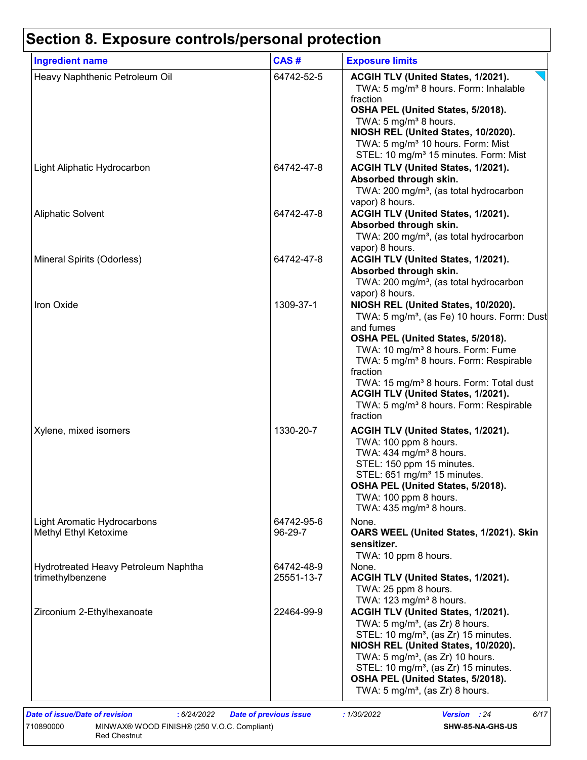Red Chestnut

| <b>Ingredient name</b>                                   | CAS#                     | <b>Exposure limits</b>                                                                    |
|----------------------------------------------------------|--------------------------|-------------------------------------------------------------------------------------------|
| Heavy Naphthenic Petroleum Oil                           | 64742-52-5               | ACGIH TLV (United States, 1/2021).<br>TWA: 5 mg/m <sup>3</sup> 8 hours. Form: Inhalable   |
|                                                          |                          | fraction                                                                                  |
|                                                          |                          | OSHA PEL (United States, 5/2018).<br>TWA: 5 mg/m <sup>3</sup> 8 hours.                    |
|                                                          |                          | NIOSH REL (United States, 10/2020).                                                       |
|                                                          |                          | TWA: 5 mg/m <sup>3</sup> 10 hours. Form: Mist                                             |
|                                                          |                          | STEL: 10 mg/m <sup>3</sup> 15 minutes. Form: Mist                                         |
| Light Aliphatic Hydrocarbon                              | 64742-47-8               | ACGIH TLV (United States, 1/2021).                                                        |
|                                                          |                          | Absorbed through skin.                                                                    |
|                                                          |                          | TWA: 200 mg/m <sup>3</sup> , (as total hydrocarbon                                        |
| <b>Aliphatic Solvent</b>                                 | 64742-47-8               | vapor) 8 hours.<br>ACGIH TLV (United States, 1/2021).                                     |
|                                                          |                          | Absorbed through skin.                                                                    |
|                                                          |                          | TWA: 200 mg/m <sup>3</sup> , (as total hydrocarbon                                        |
|                                                          |                          | vapor) 8 hours.                                                                           |
| Mineral Spirits (Odorless)                               | 64742-47-8               | ACGIH TLV (United States, 1/2021).                                                        |
|                                                          |                          | Absorbed through skin.                                                                    |
|                                                          |                          | TWA: 200 mg/m <sup>3</sup> , (as total hydrocarbon                                        |
| Iron Oxide                                               |                          | vapor) 8 hours.<br>NIOSH REL (United States, 10/2020).                                    |
|                                                          | 1309-37-1                | TWA: 5 mg/m <sup>3</sup> , (as Fe) 10 hours. Form: Dust                                   |
|                                                          |                          | and fumes                                                                                 |
|                                                          |                          | OSHA PEL (United States, 5/2018).                                                         |
|                                                          |                          | TWA: 10 mg/m <sup>3</sup> 8 hours. Form: Fume                                             |
|                                                          |                          | TWA: 5 mg/m <sup>3</sup> 8 hours. Form: Respirable                                        |
|                                                          |                          | fraction                                                                                  |
|                                                          |                          | TWA: 15 mg/m <sup>3</sup> 8 hours. Form: Total dust<br>ACGIH TLV (United States, 1/2021). |
|                                                          |                          | TWA: 5 mg/m <sup>3</sup> 8 hours. Form: Respirable                                        |
|                                                          |                          | fraction                                                                                  |
| Xylene, mixed isomers                                    | 1330-20-7                | ACGIH TLV (United States, 1/2021).                                                        |
|                                                          |                          | TWA: 100 ppm 8 hours.                                                                     |
|                                                          |                          | TWA: 434 mg/m <sup>3</sup> 8 hours.                                                       |
|                                                          |                          | STEL: 150 ppm 15 minutes.                                                                 |
|                                                          |                          | STEL: 651 mg/m <sup>3</sup> 15 minutes.<br>OSHA PEL (United States, 5/2018).              |
|                                                          |                          | TWA: 100 ppm 8 hours.                                                                     |
|                                                          |                          | TWA: 435 mg/m <sup>3</sup> 8 hours.                                                       |
| <b>Light Aromatic Hydrocarbons</b>                       | 64742-95-6               | None.                                                                                     |
| Methyl Ethyl Ketoxime                                    | 96-29-7                  | OARS WEEL (United States, 1/2021). Skin                                                   |
|                                                          |                          | sensitizer.                                                                               |
|                                                          |                          | TWA: 10 ppm 8 hours.                                                                      |
| Hydrotreated Heavy Petroleum Naphtha<br>trimethylbenzene | 64742-48-9<br>25551-13-7 | None.                                                                                     |
|                                                          |                          | ACGIH TLV (United States, 1/2021).<br>TWA: 25 ppm 8 hours.                                |
|                                                          |                          | TWA: 123 mg/m <sup>3</sup> 8 hours.                                                       |
| Zirconium 2-Ethylhexanoate                               | 22464-99-9               | ACGIH TLV (United States, 1/2021).                                                        |
|                                                          |                          | TWA: $5 \text{ mg/m}^3$ , (as Zr) 8 hours.                                                |
|                                                          |                          | STEL: 10 mg/m <sup>3</sup> , (as Zr) 15 minutes.                                          |
|                                                          |                          | NIOSH REL (United States, 10/2020).                                                       |
|                                                          |                          | TWA: $5 \text{ mg/m}^3$ , (as Zr) 10 hours.                                               |
|                                                          |                          | STEL: 10 mg/m <sup>3</sup> , (as Zr) 15 minutes.<br>OSHA PEL (United States, 5/2018).     |
|                                                          |                          | TWA: $5 \text{ mg/m}^3$ , (as Zr) 8 hours.                                                |
|                                                          |                          |                                                                                           |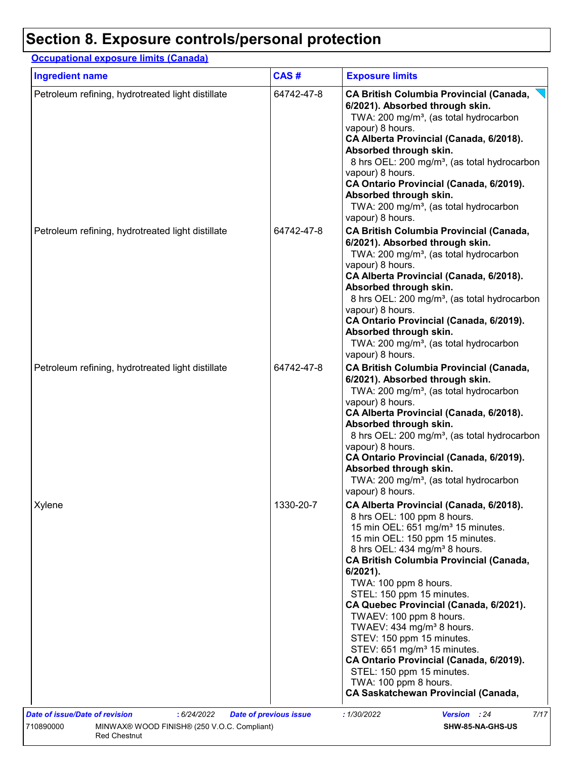### **Occupational exposure limits (Canada)**

| <b>Ingredient name</b>                            | CAS#       | <b>Exposure limits</b>                                                                                                                                                                                                                                                                                                                                                                                                                                                                                                                                                                                                                                           |
|---------------------------------------------------|------------|------------------------------------------------------------------------------------------------------------------------------------------------------------------------------------------------------------------------------------------------------------------------------------------------------------------------------------------------------------------------------------------------------------------------------------------------------------------------------------------------------------------------------------------------------------------------------------------------------------------------------------------------------------------|
| Petroleum refining, hydrotreated light distillate | 64742-47-8 | <b>CA British Columbia Provincial (Canada,</b><br>6/2021). Absorbed through skin.<br>TWA: 200 mg/m <sup>3</sup> , (as total hydrocarbon<br>vapour) 8 hours.<br>CA Alberta Provincial (Canada, 6/2018).<br>Absorbed through skin.<br>8 hrs OEL: 200 mg/m <sup>3</sup> , (as total hydrocarbon<br>vapour) 8 hours.<br>CA Ontario Provincial (Canada, 6/2019).<br>Absorbed through skin.<br>TWA: 200 mg/m <sup>3</sup> , (as total hydrocarbon<br>vapour) 8 hours.                                                                                                                                                                                                  |
| Petroleum refining, hydrotreated light distillate | 64742-47-8 | <b>CA British Columbia Provincial (Canada,</b><br>6/2021). Absorbed through skin.<br>TWA: 200 mg/m <sup>3</sup> , (as total hydrocarbon<br>vapour) 8 hours.<br>CA Alberta Provincial (Canada, 6/2018).<br>Absorbed through skin.<br>8 hrs OEL: 200 mg/m <sup>3</sup> , (as total hydrocarbon<br>vapour) 8 hours.<br>CA Ontario Provincial (Canada, 6/2019).<br>Absorbed through skin.<br>TWA: 200 mg/m <sup>3</sup> , (as total hydrocarbon<br>vapour) 8 hours.                                                                                                                                                                                                  |
| Petroleum refining, hydrotreated light distillate | 64742-47-8 | <b>CA British Columbia Provincial (Canada,</b><br>6/2021). Absorbed through skin.<br>TWA: 200 mg/m <sup>3</sup> , (as total hydrocarbon<br>vapour) 8 hours.<br>CA Alberta Provincial (Canada, 6/2018).<br>Absorbed through skin.<br>8 hrs OEL: 200 mg/m <sup>3</sup> , (as total hydrocarbon<br>vapour) 8 hours.<br>CA Ontario Provincial (Canada, 6/2019).<br>Absorbed through skin.<br>TWA: 200 mg/m <sup>3</sup> , (as total hydrocarbon<br>vapour) 8 hours.                                                                                                                                                                                                  |
| Xylene                                            | 1330-20-7  | CA Alberta Provincial (Canada, 6/2018).<br>8 hrs OEL: 100 ppm 8 hours.<br>15 min OEL: 651 mg/m <sup>3</sup> 15 minutes.<br>15 min OEL: 150 ppm 15 minutes.<br>8 hrs OEL: 434 mg/m <sup>3</sup> 8 hours.<br><b>CA British Columbia Provincial (Canada,</b><br>6/2021).<br>TWA: 100 ppm 8 hours.<br>STEL: 150 ppm 15 minutes.<br>CA Quebec Provincial (Canada, 6/2021).<br>TWAEV: 100 ppm 8 hours.<br>TWAEV: 434 mg/m <sup>3</sup> 8 hours.<br>STEV: 150 ppm 15 minutes.<br>STEV: 651 mg/m <sup>3</sup> 15 minutes.<br>CA Ontario Provincial (Canada, 6/2019).<br>STEL: 150 ppm 15 minutes.<br>TWA: 100 ppm 8 hours.<br><b>CA Saskatchewan Provincial (Canada,</b> |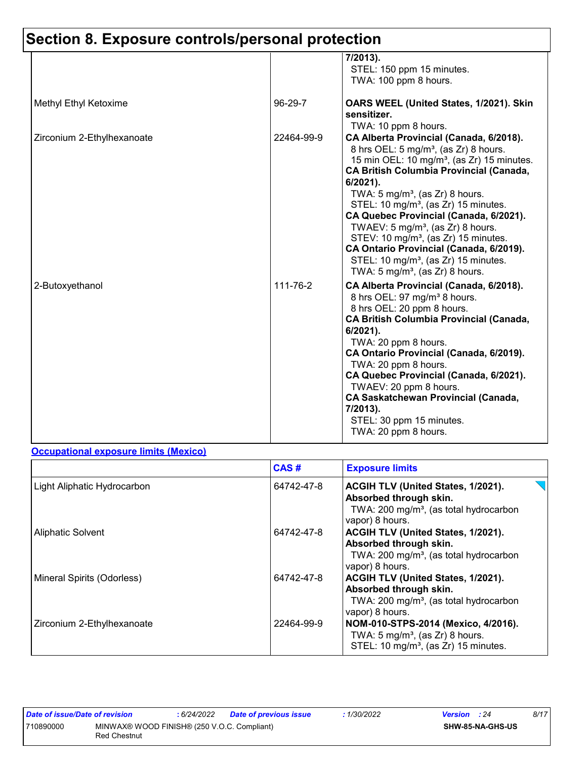|                            |            | 7/2013).<br>STEL: 150 ppm 15 minutes.<br>TWA: 100 ppm 8 hours.                                                                                                                                                                                                                                                                                                                                                                                                                                                                                                                                                       |
|----------------------------|------------|----------------------------------------------------------------------------------------------------------------------------------------------------------------------------------------------------------------------------------------------------------------------------------------------------------------------------------------------------------------------------------------------------------------------------------------------------------------------------------------------------------------------------------------------------------------------------------------------------------------------|
| Methyl Ethyl Ketoxime      | 96-29-7    | OARS WEEL (United States, 1/2021). Skin<br>sensitizer.<br>TWA: 10 ppm 8 hours.                                                                                                                                                                                                                                                                                                                                                                                                                                                                                                                                       |
| Zirconium 2-Ethylhexanoate | 22464-99-9 | CA Alberta Provincial (Canada, 6/2018).<br>8 hrs OEL: 5 mg/m <sup>3</sup> , (as Zr) 8 hours.<br>15 min OEL: 10 mg/m <sup>3</sup> , (as Zr) 15 minutes.<br><b>CA British Columbia Provincial (Canada,</b><br>$6/2021$ ).<br>TWA: $5 \text{ mg/m}^3$ , (as Zr) 8 hours.<br>STEL: 10 mg/m <sup>3</sup> , (as Zr) 15 minutes.<br>CA Quebec Provincial (Canada, 6/2021).<br>TWAEV: $5 \text{ mg/m}^3$ , (as Zr) 8 hours.<br>STEV: 10 mg/m <sup>3</sup> , (as Zr) 15 minutes.<br>CA Ontario Provincial (Canada, 6/2019).<br>STEL: 10 mg/m <sup>3</sup> , (as Zr) 15 minutes.<br>TWA: $5 \text{ mg/m}^3$ , (as Zr) 8 hours. |
| 2-Butoxyethanol            | 111-76-2   | CA Alberta Provincial (Canada, 6/2018).<br>8 hrs OEL: 97 mg/m <sup>3</sup> 8 hours.<br>8 hrs OEL: 20 ppm 8 hours.<br><b>CA British Columbia Provincial (Canada,</b><br>6/2021).<br>TWA: 20 ppm 8 hours.<br>CA Ontario Provincial (Canada, 6/2019).<br>TWA: 20 ppm 8 hours.<br>CA Quebec Provincial (Canada, 6/2021).<br>TWAEV: 20 ppm 8 hours.<br><b>CA Saskatchewan Provincial (Canada,</b><br>7/2013).<br>STEL: 30 ppm 15 minutes.<br>TWA: 20 ppm 8 hours.                                                                                                                                                         |

#### **Occupational exposure limits (Mexico)**

|                             | CAS#       | <b>Exposure limits</b>                                                                                                                |
|-----------------------------|------------|---------------------------------------------------------------------------------------------------------------------------------------|
| Light Aliphatic Hydrocarbon | 64742-47-8 | ACGIH TLV (United States, 1/2021).<br>Absorbed through skin.<br>TWA: 200 mg/m <sup>3</sup> , (as total hydrocarbon<br>vapor) 8 hours. |
| <b>Aliphatic Solvent</b>    | 64742-47-8 | ACGIH TLV (United States, 1/2021).<br>Absorbed through skin.<br>TWA: 200 mg/m <sup>3</sup> , (as total hydrocarbon<br>vapor) 8 hours. |
| Mineral Spirits (Odorless)  | 64742-47-8 | ACGIH TLV (United States, 1/2021).<br>Absorbed through skin.<br>TWA: 200 mg/m <sup>3</sup> , (as total hydrocarbon<br>vapor) 8 hours. |
| Zirconium 2-Ethylhexanoate  | 22464-99-9 | NOM-010-STPS-2014 (Mexico, 4/2016).<br>TWA: $5 \text{ mg/m}^3$ , (as Zr) 8 hours.<br>STEL: 10 mg/m <sup>3</sup> , (as Zr) 15 minutes. |

| Date of issue/Date of revision |                                                                    | : 6/24/2022 | <b>Date of previous issue</b> | 1/30/2022 | <b>Version</b> : 24 |                  | 8/17 |
|--------------------------------|--------------------------------------------------------------------|-------------|-------------------------------|-----------|---------------------|------------------|------|
| 710890000                      | MINWAX® WOOD FINISH® (250 V.O.C. Compliant)<br><b>Red Chestnut</b> |             |                               |           |                     | SHW-85-NA-GHS-US |      |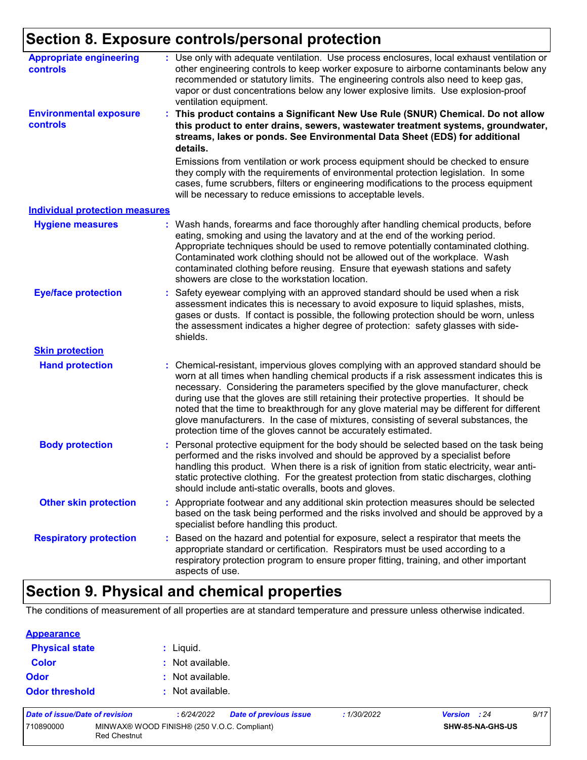| <b>Appropriate engineering</b><br>controls | : Use only with adequate ventilation. Use process enclosures, local exhaust ventilation or<br>other engineering controls to keep worker exposure to airborne contaminants below any<br>recommended or statutory limits. The engineering controls also need to keep gas,<br>vapor or dust concentrations below any lower explosive limits. Use explosion-proof<br>ventilation equipment.                                                                                                                                                                                                                              |
|--------------------------------------------|----------------------------------------------------------------------------------------------------------------------------------------------------------------------------------------------------------------------------------------------------------------------------------------------------------------------------------------------------------------------------------------------------------------------------------------------------------------------------------------------------------------------------------------------------------------------------------------------------------------------|
| <b>Environmental exposure</b><br>controls  | This product contains a Significant New Use Rule (SNUR) Chemical. Do not allow<br>÷.<br>this product to enter drains, sewers, wastewater treatment systems, groundwater,<br>streams, lakes or ponds. See Environmental Data Sheet (EDS) for additional<br>details.                                                                                                                                                                                                                                                                                                                                                   |
|                                            | Emissions from ventilation or work process equipment should be checked to ensure<br>they comply with the requirements of environmental protection legislation. In some<br>cases, fume scrubbers, filters or engineering modifications to the process equipment<br>will be necessary to reduce emissions to acceptable levels.                                                                                                                                                                                                                                                                                        |
| <b>Individual protection measures</b>      |                                                                                                                                                                                                                                                                                                                                                                                                                                                                                                                                                                                                                      |
| <b>Hygiene measures</b>                    | : Wash hands, forearms and face thoroughly after handling chemical products, before<br>eating, smoking and using the lavatory and at the end of the working period.<br>Appropriate techniques should be used to remove potentially contaminated clothing.<br>Contaminated work clothing should not be allowed out of the workplace. Wash<br>contaminated clothing before reusing. Ensure that eyewash stations and safety<br>showers are close to the workstation location.                                                                                                                                          |
| <b>Eye/face protection</b>                 | Safety eyewear complying with an approved standard should be used when a risk<br>assessment indicates this is necessary to avoid exposure to liquid splashes, mists,<br>gases or dusts. If contact is possible, the following protection should be worn, unless<br>the assessment indicates a higher degree of protection: safety glasses with side-<br>shields.                                                                                                                                                                                                                                                     |
| <b>Skin protection</b>                     |                                                                                                                                                                                                                                                                                                                                                                                                                                                                                                                                                                                                                      |
| <b>Hand protection</b>                     | Chemical-resistant, impervious gloves complying with an approved standard should be<br>worn at all times when handling chemical products if a risk assessment indicates this is<br>necessary. Considering the parameters specified by the glove manufacturer, check<br>during use that the gloves are still retaining their protective properties. It should be<br>noted that the time to breakthrough for any glove material may be different for different<br>glove manufacturers. In the case of mixtures, consisting of several substances, the<br>protection time of the gloves cannot be accurately estimated. |
| <b>Body protection</b>                     | Personal protective equipment for the body should be selected based on the task being<br>performed and the risks involved and should be approved by a specialist before<br>handling this product. When there is a risk of ignition from static electricity, wear anti-<br>static protective clothing. For the greatest protection from static discharges, clothing<br>should include anti-static overalls, boots and gloves.                                                                                                                                                                                         |
| <b>Other skin protection</b>               | Appropriate footwear and any additional skin protection measures should be selected<br>based on the task being performed and the risks involved and should be approved by a<br>specialist before handling this product.                                                                                                                                                                                                                                                                                                                                                                                              |
| <b>Respiratory protection</b>              | Based on the hazard and potential for exposure, select a respirator that meets the<br>appropriate standard or certification. Respirators must be used according to a<br>respiratory protection program to ensure proper fitting, training, and other important<br>aspects of use.                                                                                                                                                                                                                                                                                                                                    |

# **Section 9. Physical and chemical properties**

The conditions of measurement of all properties are at standard temperature and pressure unless otherwise indicated.

| <b>Appearance</b>     |                  |
|-----------------------|------------------|
| <b>Physical state</b> | : Liquid.        |
| <b>Color</b>          | : Not available. |
| <b>Odor</b>           | : Not available. |
| <b>Odor threshold</b> | : Not available. |

| Date of issue/Date of revision                                                  |  | 6/24/2022 | Date of previous issue | : 1/30/2022             | <b>Version</b> : 24 |  | 9/17 |
|---------------------------------------------------------------------------------|--|-----------|------------------------|-------------------------|---------------------|--|------|
| MINWAX® WOOD FINISH® (250 V.O.C. Compliant)<br>710890000<br><b>Red Chestnut</b> |  |           |                        | <b>SHW-85-NA-GHS-US</b> |                     |  |      |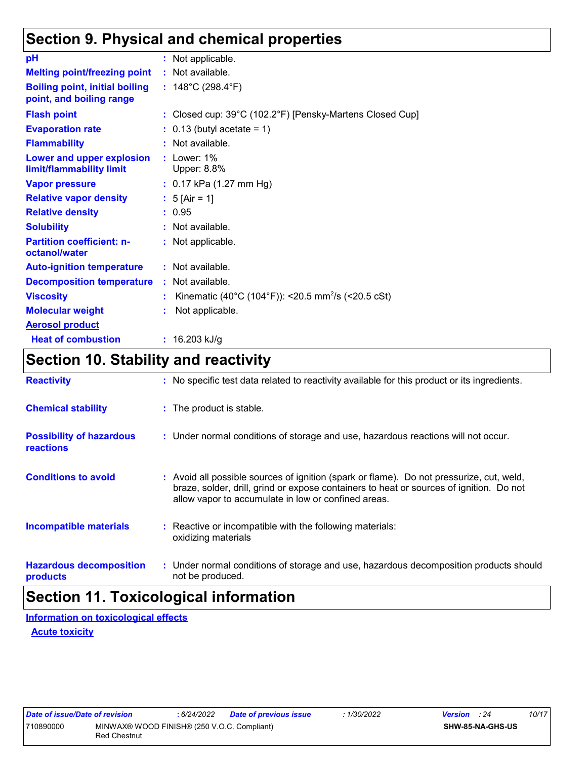# **Section 9. Physical and chemical properties**

| pH                                                                | : Not applicable.                                              |
|-------------------------------------------------------------------|----------------------------------------------------------------|
| <b>Melting point/freezing point</b>                               | : Not available.                                               |
| <b>Boiling point, initial boiling</b><br>point, and boiling range | : $148^{\circ}$ C (298.4 $^{\circ}$ F)                         |
| <b>Flash point</b>                                                | : Closed cup: 39°C (102.2°F) [Pensky-Martens Closed Cup]       |
| <b>Evaporation rate</b>                                           | $: 0.13$ (butyl acetate = 1)                                   |
| <b>Flammability</b>                                               | $:$ Not available.                                             |
| Lower and upper explosion<br>limit/flammability limit             | $:$ Lower: 1%<br>Upper: 8.8%                                   |
| <b>Vapor pressure</b>                                             | : 0.17 kPa (1.27 mm Hg)                                        |
| <b>Relative vapor density</b>                                     | : $5$ [Air = 1]                                                |
| <b>Relative density</b>                                           | : 0.95                                                         |
| <b>Solubility</b>                                                 | : Not available.                                               |
| <b>Partition coefficient: n-</b><br>octanol/water                 | : Not applicable.                                              |
| <b>Auto-ignition temperature</b>                                  | : Not available.                                               |
| <b>Decomposition temperature</b>                                  | : Not available.                                               |
| <b>Viscosity</b>                                                  | Kinematic (40°C (104°F)): <20.5 mm <sup>2</sup> /s (<20.5 cSt) |
| <b>Molecular weight</b>                                           | Not applicable.                                                |
| <b>Aerosol product</b>                                            |                                                                |
| <b>Heat of combustion</b>                                         | : $16.203$ kJ/g                                                |

# **Section 10. Stability and reactivity**

| <b>Reactivity</b>                            | : No specific test data related to reactivity available for this product or its ingredients.                                                                                                                                               |
|----------------------------------------------|--------------------------------------------------------------------------------------------------------------------------------------------------------------------------------------------------------------------------------------------|
| <b>Chemical stability</b>                    | : The product is stable.                                                                                                                                                                                                                   |
| <b>Possibility of hazardous</b><br>reactions | : Under normal conditions of storage and use, hazardous reactions will not occur.                                                                                                                                                          |
| <b>Conditions to avoid</b>                   | : Avoid all possible sources of ignition (spark or flame). Do not pressurize, cut, weld,<br>braze, solder, drill, grind or expose containers to heat or sources of ignition. Do not<br>allow vapor to accumulate in low or confined areas. |
| <b>Incompatible materials</b>                | : Reactive or incompatible with the following materials:<br>oxidizing materials                                                                                                                                                            |
| <b>Hazardous decomposition</b><br>products   | : Under normal conditions of storage and use, hazardous decomposition products should<br>not be produced.                                                                                                                                  |

# **Section 11. Toxicological information**

**Acute toxicity Information on toxicological effects**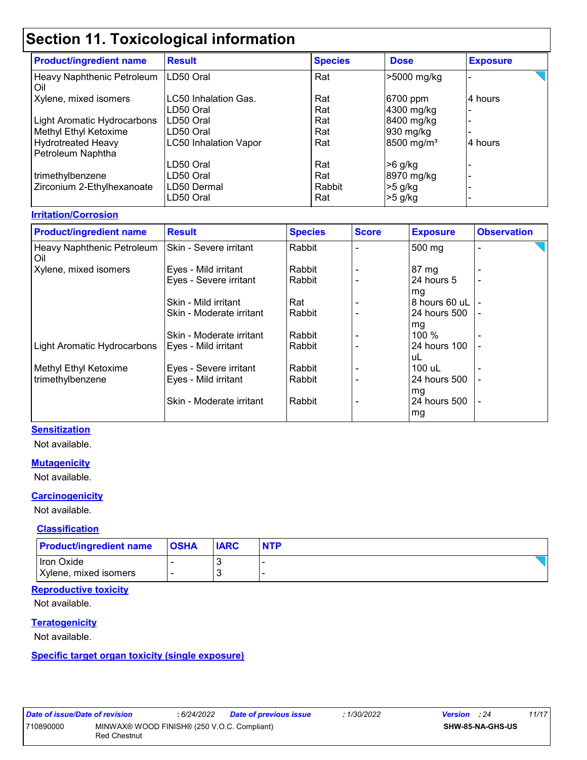# **Section 11. Toxicological information**

| <b>Product/ingredient name</b>                 | <b>Result</b>                | <b>Species</b> | <b>Dose</b>            | <b>Exposure</b> |
|------------------------------------------------|------------------------------|----------------|------------------------|-----------------|
| Heavy Naphthenic Petroleum<br>Oil              | LD50 Oral                    | Rat            | >5000 mg/kg            |                 |
| Xylene, mixed isomers                          | <b>LC50 Inhalation Gas.</b>  | Rat            | 6700 ppm               | 4 hours         |
|                                                | LD50 Oral                    | Rat            | 4300 mg/kg             |                 |
| Light Aromatic Hydrocarbons                    | LD50 Oral                    | Rat            | 8400 mg/kg             |                 |
| Methyl Ethyl Ketoxime                          | LD50 Oral                    | Rat            | 930 mg/kg              |                 |
| <b>Hydrotreated Heavy</b><br>Petroleum Naphtha | <b>LC50 Inhalation Vapor</b> | Rat            | 8500 mg/m <sup>3</sup> | 4 hours         |
|                                                | LD50 Oral                    | Rat            | $>6$ g/kg              |                 |
| trimethylbenzene                               | LD50 Oral                    | Rat            | 8970 mg/kg             |                 |
| Zirconium 2-Ethylhexanoate                     | LD50 Dermal                  | Rabbit         | $>5$ g/kg              |                 |
|                                                | LD50 Oral                    | Rat            | $>5$ g/kg              |                 |

#### **Irritation/Corrosion**

| <b>Product/ingredient name</b>    | <b>Result</b>            | <b>Species</b> | <b>Score</b> | <b>Exposure</b> | <b>Observation</b> |
|-----------------------------------|--------------------------|----------------|--------------|-----------------|--------------------|
| Heavy Naphthenic Petroleum<br>Oil | Skin - Severe irritant   | Rabbit         |              | 500 mg          |                    |
| Xylene, mixed isomers             | Eyes - Mild irritant     | Rabbit         |              | $87 \text{ mg}$ |                    |
|                                   | Eyes - Severe irritant   | Rabbit         |              | 24 hours 5      | $\blacksquare$     |
|                                   |                          |                |              | mg              |                    |
|                                   | Skin - Mild irritant     | Rat            |              | 8 hours 60 uL   |                    |
|                                   | Skin - Moderate irritant | Rabbit         |              | 24 hours 500    |                    |
|                                   |                          |                |              | mg              |                    |
|                                   | Skin - Moderate irritant | Rabbit         |              | 100 %           |                    |
| Light Aromatic Hydrocarbons       | Eyes - Mild irritant     | Rabbit         |              | 24 hours 100    |                    |
|                                   |                          |                |              | uL              |                    |
| Methyl Ethyl Ketoxime             | Eyes - Severe irritant   | Rabbit         |              | 100 uL          |                    |
| trimethylbenzene                  | Eyes - Mild irritant     | Rabbit         |              | 24 hours 500    |                    |
|                                   |                          |                |              | mg              |                    |
|                                   | Skin - Moderate irritant | Rabbit         |              | 24 hours 500    | $\blacksquare$     |
|                                   |                          |                |              | mg              |                    |

#### **Sensitization**

Not available.

#### **Mutagenicity**

Not available.

#### **Carcinogenicity**

Not available.

#### **Classification**

| <b>Product/ingredient name</b> | <b>OSHA</b> | <b>IARC</b> | <b>NTP</b> |
|--------------------------------|-------------|-------------|------------|
| Iron Oxide                     |             |             |            |
| Xylene, mixed isomers          |             |             |            |

#### **Reproductive toxicity**

Not available.

#### **Teratogenicity**

Not available.

#### **Specific target organ toxicity (single exposure)**

| Date of issue/Date of revision |                     | 6/24/2022                                   | <b>Date of previous issue</b> | 1/30/2022 | <b>Version</b> : 24     | 11/17 |
|--------------------------------|---------------------|---------------------------------------------|-------------------------------|-----------|-------------------------|-------|
| 710890000                      |                     | MINWAX® WOOD FINISH® (250 V.O.C. Compliant) |                               |           | <b>SHW-85-NA-GHS-US</b> |       |
|                                | <b>Red Chestnut</b> |                                             |                               |           |                         |       |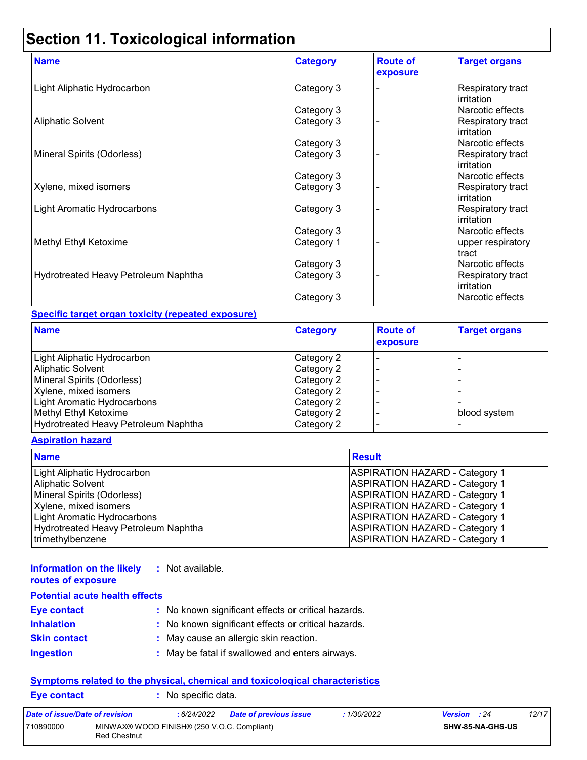# **Section 11. Toxicological information**

| <b>Name</b>                          | <b>Category</b> | <b>Route of</b><br>exposure | <b>Target organs</b>                    |
|--------------------------------------|-----------------|-----------------------------|-----------------------------------------|
| Light Aliphatic Hydrocarbon          | Category 3      |                             | Respiratory tract<br><b>irritation</b>  |
|                                      | Category 3      |                             | Narcotic effects                        |
| <b>Aliphatic Solvent</b>             | Category 3      |                             | Respiratory tract<br>irritation         |
|                                      | Category 3      |                             | Narcotic effects                        |
| Mineral Spirits (Odorless)           | Category 3      |                             | Respiratory tract<br>irritation         |
|                                      | Category 3      |                             | Narcotic effects                        |
| Xylene, mixed isomers                | Category 3      |                             | <b>Respiratory tract</b><br>irritation  |
| Light Aromatic Hydrocarbons          | Category 3      |                             | <b>Respiratory tract</b><br>lirritation |
|                                      | Category 3      |                             | Narcotic effects                        |
| Methyl Ethyl Ketoxime                | Category 1      |                             | upper respiratory<br>tract              |
|                                      | Category 3      |                             | Narcotic effects                        |
| Hydrotreated Heavy Petroleum Naphtha | Category 3      |                             | Respiratory tract<br>irritation         |
|                                      | Category 3      |                             | Narcotic effects                        |

#### **Specific target organ toxicity (repeated exposure)**

| <b>Name</b>                          | <b>Category</b> | <b>Route of</b><br>exposure | <b>Target organs</b> |
|--------------------------------------|-----------------|-----------------------------|----------------------|
| Light Aliphatic Hydrocarbon          | Category 2      |                             |                      |
| <b>Aliphatic Solvent</b>             | Category 2      |                             |                      |
| Mineral Spirits (Odorless)           | Category 2      |                             |                      |
| Xylene, mixed isomers                | Category 2      |                             |                      |
| Light Aromatic Hydrocarbons          | Category 2      |                             |                      |
| Methyl Ethyl Ketoxime                | Category 2      |                             | blood system         |
| Hydrotreated Heavy Petroleum Naphtha | Category 2      |                             |                      |

#### **Aspiration hazard**

| <b>Name</b>                          | <b>Result</b>                         |
|--------------------------------------|---------------------------------------|
| Light Aliphatic Hydrocarbon          | <b>ASPIRATION HAZARD - Category 1</b> |
| <b>Aliphatic Solvent</b>             | <b>ASPIRATION HAZARD - Category 1</b> |
| Mineral Spirits (Odorless)           | <b>ASPIRATION HAZARD - Category 1</b> |
| Xylene, mixed isomers                | <b>ASPIRATION HAZARD - Category 1</b> |
| Light Aromatic Hydrocarbons          | <b>ASPIRATION HAZARD - Category 1</b> |
| Hydrotreated Heavy Petroleum Naphtha | <b>ASPIRATION HAZARD - Category 1</b> |
| trimethylbenzene                     | <b>ASPIRATION HAZARD - Category 1</b> |

#### **Information on the likely :** Not available. **routes of exposure**

| <b>Potential acute health effects</b> |                                                     |
|---------------------------------------|-----------------------------------------------------|
| <b>Eye contact</b>                    | : No known significant effects or critical hazards. |
| <b>Inhalation</b>                     | : No known significant effects or critical hazards. |
| <b>Skin contact</b>                   | : May cause an allergic skin reaction.              |
| <b>Ingestion</b>                      | : May be fatal if swallowed and enters airways.     |

#### **Symptoms related to the physical, chemical and toxicological characteristics Eye contact :** No specific data.

| Date of issue/Date of revision |                                                                    | : 6/24/2022 | Date of previous issue | : 1/30/2022 | <b>Version</b> : 24     |  | 12/17 |
|--------------------------------|--------------------------------------------------------------------|-------------|------------------------|-------------|-------------------------|--|-------|
| 710890000                      | MINWAX® WOOD FINISH® (250 V.O.C. Compliant)<br><b>Red Chestnut</b> |             |                        |             | <b>SHW-85-NA-GHS-US</b> |  |       |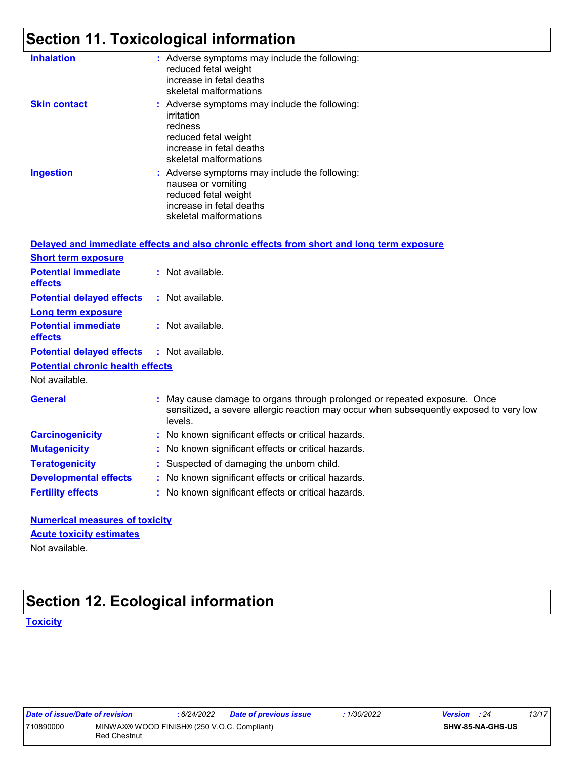# **Section 11. Toxicological information**

| <b>Inhalation</b>   | : Adverse symptoms may include the following:<br>reduced fetal weight<br>increase in fetal deaths<br>skeletal malformations                          |
|---------------------|------------------------------------------------------------------------------------------------------------------------------------------------------|
| <b>Skin contact</b> | : Adverse symptoms may include the following:<br>irritation<br>redness<br>reduced fetal weight<br>increase in fetal deaths<br>skeletal malformations |
| <b>Ingestion</b>    | : Adverse symptoms may include the following:<br>nausea or vomiting<br>reduced fetal weight<br>increase in fetal deaths<br>skeletal malformations    |

|                                              | Delayed and immediate effects and also chronic effects from short and long term exposure                                                                                       |
|----------------------------------------------|--------------------------------------------------------------------------------------------------------------------------------------------------------------------------------|
| <b>Short term exposure</b>                   |                                                                                                                                                                                |
| <b>Potential immediate</b><br>effects        | : Not available.                                                                                                                                                               |
| <b>Potential delayed effects</b>             | : Not available.                                                                                                                                                               |
| <b>Long term exposure</b>                    |                                                                                                                                                                                |
| <b>Potential immediate</b><br><b>effects</b> | $:$ Not available.                                                                                                                                                             |
| <b>Potential delayed effects</b>             | : Not available.                                                                                                                                                               |
| <b>Potential chronic health effects</b>      |                                                                                                                                                                                |
| Not available.                               |                                                                                                                                                                                |
| <b>General</b>                               | : May cause damage to organs through prolonged or repeated exposure. Once<br>sensitized, a severe allergic reaction may occur when subsequently exposed to very low<br>levels. |
| <b>Carcinogenicity</b>                       | : No known significant effects or critical hazards.                                                                                                                            |
| <b>Mutagenicity</b>                          | : No known significant effects or critical hazards.                                                                                                                            |
| <b>Teratogenicity</b>                        | : Suspected of damaging the unborn child.                                                                                                                                      |
| <b>Developmental effects</b>                 | : No known significant effects or critical hazards.                                                                                                                            |
| <b>Fertility effects</b>                     | : No known significant effects or critical hazards.                                                                                                                            |

**Numerical measures of toxicity** Not available. **Acute toxicity estimates**

## **Section 12. Ecological information**

#### **Toxicity**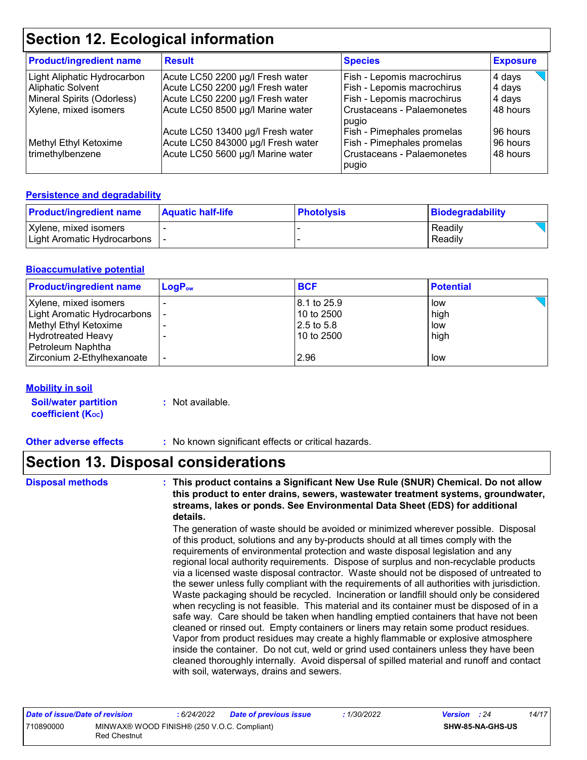# **Section 12. Ecological information**

| <b>Product/ingredient name</b> | <b>Result</b>                      | <b>Species</b>                      | <b>Exposure</b> |
|--------------------------------|------------------------------------|-------------------------------------|-----------------|
| Light Aliphatic Hydrocarbon    | Acute LC50 2200 µg/l Fresh water   | Fish - Lepomis macrochirus          | 4 days          |
| Aliphatic Solvent              | Acute LC50 2200 µg/l Fresh water   | Fish - Lepomis macrochirus          | 4 days          |
| Mineral Spirits (Odorless)     | Acute LC50 2200 µg/l Fresh water   | Fish - Lepomis macrochirus          | 4 days          |
| Xylene, mixed isomers          | Acute LC50 8500 µg/l Marine water  | Crustaceans - Palaemonetes<br>pugio | 48 hours        |
|                                | Acute LC50 13400 µg/l Fresh water  | Fish - Pimephales promelas          | 96 hours        |
| Methyl Ethyl Ketoxime          | Acute LC50 843000 µg/l Fresh water | Fish - Pimephales promelas          | 96 hours        |
| trimethylbenzene               | Acute LC50 5600 µg/l Marine water  | Crustaceans - Palaemonetes<br>pugio | 48 hours        |

#### **Persistence and degradability**

| <b>Product/ingredient name</b> | <b>Aquatic half-life</b> | <b>Photolysis</b> | Biodegradability |
|--------------------------------|--------------------------|-------------------|------------------|
| Xylene, mixed isomers          |                          |                   | Readily          |
| Light Aromatic Hydrocarbons    |                          |                   | Readily          |

#### **Bioaccumulative potential**

| <b>Product/ingredient name</b> | $LogP_{ow}$ | <b>BCF</b>  | <b>Potential</b> |
|--------------------------------|-------------|-------------|------------------|
| Xylene, mixed isomers          |             | 8.1 to 25.9 | low              |
| Light Aromatic Hydrocarbons    |             | 10 to 2500  | high             |
| Methyl Ethyl Ketoxime          |             | 2.5 to 5.8  | low              |
| <b>Hydrotreated Heavy</b>      |             | 10 to 2500  | high             |
| Petroleum Naphtha              |             |             |                  |
| Zirconium 2-Ethylhexanoate     |             | 2.96        | low              |

#### **Mobility in soil**

| <b>Soil/water partition</b> | : Not available. |
|-----------------------------|------------------|
| <b>coefficient (Koc)</b>    |                  |

**Other adverse effects** : No known significant effects or critical hazards.

### **Section 13. Disposal considerations**

**Disposal methods : This product contains a Significant New Use Rule (SNUR) Chemical. Do not allow this product to enter drains, sewers, wastewater treatment systems, groundwater, streams, lakes or ponds. See Environmental Data Sheet (EDS) for additional details.**

> The generation of waste should be avoided or minimized wherever possible. Disposal of this product, solutions and any by-products should at all times comply with the requirements of environmental protection and waste disposal legislation and any regional local authority requirements. Dispose of surplus and non-recyclable products via a licensed waste disposal contractor. Waste should not be disposed of untreated to the sewer unless fully compliant with the requirements of all authorities with jurisdiction. Waste packaging should be recycled. Incineration or landfill should only be considered when recycling is not feasible. This material and its container must be disposed of in a safe way. Care should be taken when handling emptied containers that have not been cleaned or rinsed out. Empty containers or liners may retain some product residues. Vapor from product residues may create a highly flammable or explosive atmosphere inside the container. Do not cut, weld or grind used containers unless they have been cleaned thoroughly internally. Avoid dispersal of spilled material and runoff and contact with soil, waterways, drains and sewers.

| Date of issue/Date of revision |                                                                    | : 6/24/2022 | <b>Date of previous issue</b> | : 1/30/2022 | <b>Version</b> : 24 |                  | 14/17 |
|--------------------------------|--------------------------------------------------------------------|-------------|-------------------------------|-------------|---------------------|------------------|-------|
| 710890000                      | MINWAX® WOOD FINISH® (250 V.O.C. Compliant)<br><b>Red Chestnut</b> |             |                               |             |                     | SHW-85-NA-GHS-US |       |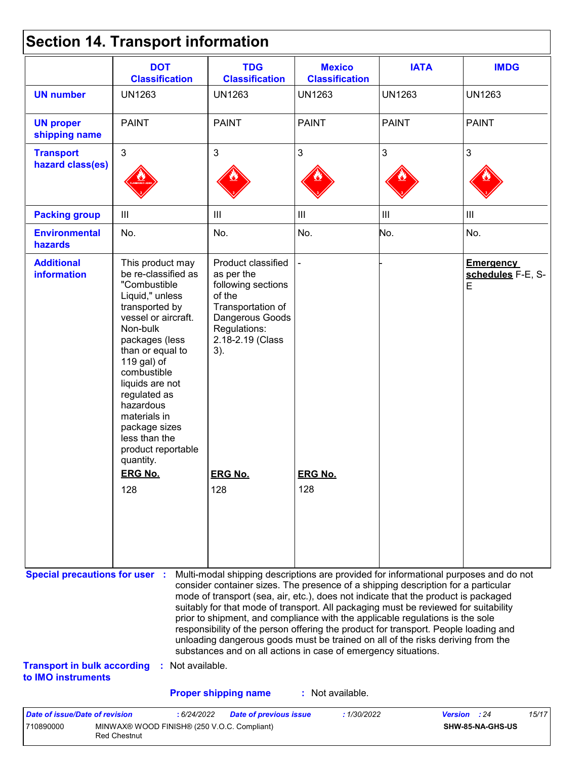|  |  | <b>Section 14. Transport information</b> |  |
|--|--|------------------------------------------|--|
|--|--|------------------------------------------|--|

710890000 MINWAX® WOOD FINISH® (250 V.O.C. Compliant)

Red Chestnut

|                                                                                                   | <b>DOT</b><br><b>Classification</b>                                                                                                                                                                                                                                                                                                      | <b>TDG</b><br><b>Classification</b><br><b>Classification</b>                                                                                                                                                                                                                                                                                                                                                                                                                                                                                                                                                                                                                                                       |                                    | <b>IATA</b>    | <b>IMDG</b>                                |  |
|---------------------------------------------------------------------------------------------------|------------------------------------------------------------------------------------------------------------------------------------------------------------------------------------------------------------------------------------------------------------------------------------------------------------------------------------------|--------------------------------------------------------------------------------------------------------------------------------------------------------------------------------------------------------------------------------------------------------------------------------------------------------------------------------------------------------------------------------------------------------------------------------------------------------------------------------------------------------------------------------------------------------------------------------------------------------------------------------------------------------------------------------------------------------------------|------------------------------------|----------------|--------------------------------------------|--|
| <b>UN number</b>                                                                                  | <b>UN1263</b>                                                                                                                                                                                                                                                                                                                            | <b>UN1263</b>                                                                                                                                                                                                                                                                                                                                                                                                                                                                                                                                                                                                                                                                                                      | <b>UN1263</b>                      | <b>UN1263</b>  | <b>UN1263</b>                              |  |
| <b>UN proper</b><br>shipping name                                                                 | <b>PAINT</b>                                                                                                                                                                                                                                                                                                                             | <b>PAINT</b>                                                                                                                                                                                                                                                                                                                                                                                                                                                                                                                                                                                                                                                                                                       | <b>PAINT</b>                       | <b>PAINT</b>   | <b>PAINT</b>                               |  |
| <b>Transport</b><br>hazard class(es)                                                              | 3                                                                                                                                                                                                                                                                                                                                        | $\mathfrak{S}$                                                                                                                                                                                                                                                                                                                                                                                                                                                                                                                                                                                                                                                                                                     | $\mathfrak{S}$                     | 3              | 3                                          |  |
| <b>Packing group</b>                                                                              | $\mathbf{III}$                                                                                                                                                                                                                                                                                                                           | $\mathbf{III}$                                                                                                                                                                                                                                                                                                                                                                                                                                                                                                                                                                                                                                                                                                     | $\ensuremath{\mathsf{III}}\xspace$ | $\mathbf{III}$ | $\ensuremath{\mathsf{III}}\xspace$         |  |
| <b>Environmental</b><br>hazards                                                                   | No.                                                                                                                                                                                                                                                                                                                                      | No.                                                                                                                                                                                                                                                                                                                                                                                                                                                                                                                                                                                                                                                                                                                | No.                                | No.            | No.                                        |  |
| <b>Additional</b><br><b>information</b>                                                           | This product may<br>be re-classified as<br>"Combustible<br>Liquid," unless<br>transported by<br>vessel or aircraft.<br>Non-bulk<br>packages (less<br>than or equal to<br>119 gal) of<br>combustible<br>liquids are not<br>regulated as<br>hazardous<br>materials in<br>package sizes<br>less than the<br>product reportable<br>quantity. | Product classified<br>as per the<br>following sections<br>of the<br>Transportation of<br>Dangerous Goods<br>Regulations:<br>2.18-2.19 (Class<br>3).                                                                                                                                                                                                                                                                                                                                                                                                                                                                                                                                                                |                                    |                | <b>Emergency</b><br>schedules F-E, S-<br>E |  |
|                                                                                                   | <b>ERG No.</b>                                                                                                                                                                                                                                                                                                                           | <b>ERG No.</b>                                                                                                                                                                                                                                                                                                                                                                                                                                                                                                                                                                                                                                                                                                     | <b>ERG No.</b>                     |                |                                            |  |
|                                                                                                   | 128                                                                                                                                                                                                                                                                                                                                      | 128                                                                                                                                                                                                                                                                                                                                                                                                                                                                                                                                                                                                                                                                                                                | 128                                |                |                                            |  |
| <b>Special precautions for user :</b><br><b>Transport in bulk according</b><br>to IMO instruments | Not available.                                                                                                                                                                                                                                                                                                                           | Multi-modal shipping descriptions are provided for informational purposes and do not<br>consider container sizes. The presence of a shipping description for a particular<br>mode of transport (sea, air, etc.), does not indicate that the product is packaged<br>suitably for that mode of transport. All packaging must be reviewed for suitability<br>prior to shipment, and compliance with the applicable regulations is the sole<br>responsibility of the person offering the product for transport. People loading and<br>unloading dangerous goods must be trained on all of the risks deriving from the<br>substances and on all actions in case of emergency situations.<br><b>Proper shipping name</b> | : Not available.                   |                |                                            |  |

**SHW-85-NA-GHS-US**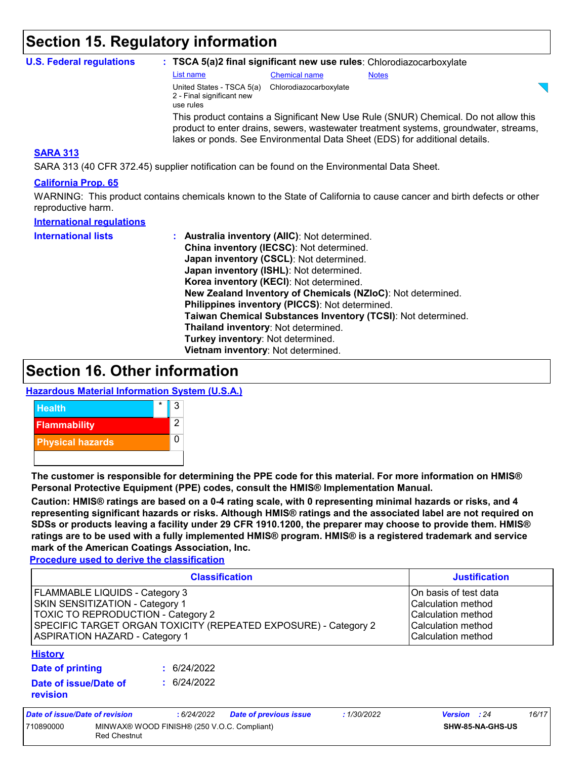### **Section 15. Regulatory information**

| <b>U.S. Federal regulations</b>                                                                                 |                                                                     |                        | : TSCA 5(a)2 final significant new use rules: Chlorodiazocarboxylate                                                                                                                                                                                      |
|-----------------------------------------------------------------------------------------------------------------|---------------------------------------------------------------------|------------------------|-----------------------------------------------------------------------------------------------------------------------------------------------------------------------------------------------------------------------------------------------------------|
|                                                                                                                 | List name                                                           | <b>Chemical name</b>   | <b>Notes</b>                                                                                                                                                                                                                                              |
|                                                                                                                 | United States - TSCA 5(a)<br>2 - Final significant new<br>use rules | Chlorodiazocarboxylate |                                                                                                                                                                                                                                                           |
|                                                                                                                 |                                                                     |                        | This product contains a Significant New Use Rule (SNUR) Chemical. Do not allow this<br>product to enter drains, sewers, wastewater treatment systems, groundwater, streams,<br>lakes or ponds. See Environmental Data Sheet (EDS) for additional details. |
| <b>SARA 313</b><br>SARA 313 (40 CFR 372.45) supplier notification can be found on the Environmental Data Sheet. |                                                                     |                        |                                                                                                                                                                                                                                                           |

#### **California Prop. 65**

WARNING: This product contains chemicals known to the State of California to cause cancer and birth defects or other reproductive harm.

| <b>International regulations</b> |                                                              |
|----------------------------------|--------------------------------------------------------------|
| <b>International lists</b>       | : Australia inventory (AIIC): Not determined.                |
|                                  | China inventory (IECSC): Not determined.                     |
|                                  | Japan inventory (CSCL): Not determined.                      |
|                                  | Japan inventory (ISHL): Not determined.                      |
|                                  | Korea inventory (KECI): Not determined.                      |
|                                  | New Zealand Inventory of Chemicals (NZIoC): Not determined.  |
|                                  | Philippines inventory (PICCS): Not determined.               |
|                                  | Taiwan Chemical Substances Inventory (TCSI): Not determined. |
|                                  | Thailand inventory: Not determined.                          |
|                                  | Turkey inventory: Not determined.                            |
|                                  | Vietnam inventory: Not determined.                           |

### **Section 16. Other information**

#### **Hazardous Material Information System (U.S.A.)**



**The customer is responsible for determining the PPE code for this material. For more information on HMIS® Personal Protective Equipment (PPE) codes, consult the HMIS® Implementation Manual.**

**Caution: HMIS® ratings are based on a 0-4 rating scale, with 0 representing minimal hazards or risks, and 4 representing significant hazards or risks. Although HMIS® ratings and the associated label are not required on SDSs or products leaving a facility under 29 CFR 1910.1200, the preparer may choose to provide them. HMIS® ratings are to be used with a fully implemented HMIS® program. HMIS® is a registered trademark and service mark of the American Coatings Association, Inc.**

**Procedure used to derive the classification**

| <b>Classification</b>                                                                                                                                                                                               |                                |  |             |                               |                                                                                                               | <b>Justification</b> |       |  |
|---------------------------------------------------------------------------------------------------------------------------------------------------------------------------------------------------------------------|--------------------------------|--|-------------|-------------------------------|---------------------------------------------------------------------------------------------------------------|----------------------|-------|--|
| FLAMMABLE LIQUIDS - Category 3<br>SKIN SENSITIZATION - Category 1<br>TOXIC TO REPRODUCTION - Category 2<br>SPECIFIC TARGET ORGAN TOXICITY (REPEATED EXPOSURE) - Category 2<br><b>ASPIRATION HAZARD - Category 1</b> |                                |  |             |                               | On basis of test data<br>Calculation method<br>Calculation method<br>Calculation method<br>Calculation method |                      |       |  |
| <b>History</b>                                                                                                                                                                                                      |                                |  |             |                               |                                                                                                               |                      |       |  |
| <b>Date of printing</b>                                                                                                                                                                                             |                                |  | : 6/24/2022 |                               |                                                                                                               |                      |       |  |
| Date of issue/Date of<br>revision                                                                                                                                                                                   |                                |  | : 6/24/2022 |                               |                                                                                                               |                      |       |  |
|                                                                                                                                                                                                                     | Date of issue/Date of revision |  | : 6/24/2022 | <b>Date of previous issue</b> | : 1/30/2022                                                                                                   | <b>Version</b> : 24  | 16/17 |  |
| MINWAX® WOOD FINISH® (250 V.O.C. Compliant)<br>710890000<br><b>Red Chestnut</b>                                                                                                                                     |                                |  |             | SHW-85-NA-GHS-US              |                                                                                                               |                      |       |  |